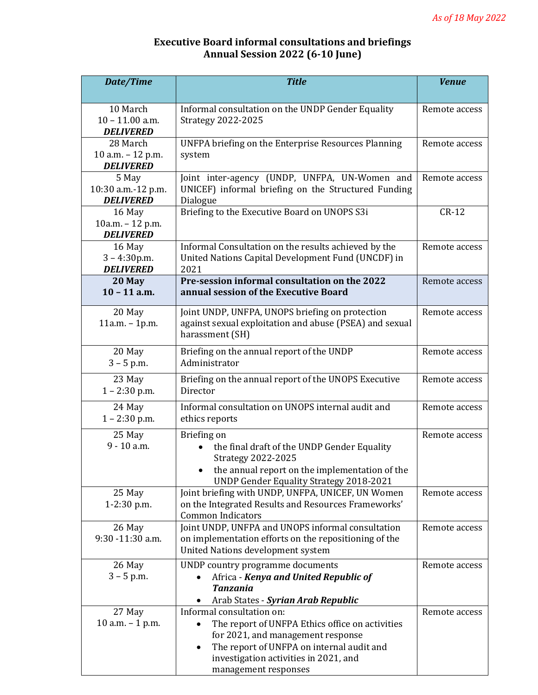## **Executive Board informal consultations and briefings Annual Session 2022 (6-10 June)**

| Date/Time                            | <b>Title</b>                                                                         | <b>Venue</b>  |
|--------------------------------------|--------------------------------------------------------------------------------------|---------------|
|                                      |                                                                                      |               |
| 10 March                             | Informal consultation on the UNDP Gender Equality                                    | Remote access |
| $10 - 11.00$ a.m.                    | <b>Strategy 2022-2025</b>                                                            |               |
| <b>DELIVERED</b><br>28 March         | <b>UNFPA briefing on the Enterprise Resources Planning</b>                           | Remote access |
| 10 a.m. - 12 p.m.                    | system                                                                               |               |
| <b>DELIVERED</b>                     |                                                                                      |               |
| 5 May                                | Joint inter-agency (UNDP, UNFPA, UN-Women and                                        | Remote access |
| 10:30 a.m.-12 p.m.                   | UNICEF) informal briefing on the Structured Funding                                  |               |
| <b>DELIVERED</b>                     | Dialogue                                                                             |               |
| 16 May                               | Briefing to the Executive Board on UNOPS S3i                                         | $CR-12$       |
| 10a.m. - 12 p.m.<br><b>DELIVERED</b> |                                                                                      |               |
| 16 May                               | Informal Consultation on the results achieved by the                                 | Remote access |
| $3 - 4:30p.m.$                       | United Nations Capital Development Fund (UNCDF) in                                   |               |
| <b>DELIVERED</b>                     | 2021                                                                                 |               |
| 20 May                               | Pre-session informal consultation on the 2022                                        | Remote access |
| $10 - 11$ a.m.                       | annual session of the Executive Board                                                |               |
| 20 May                               | Joint UNDP, UNFPA, UNOPS briefing on protection                                      | Remote access |
| $11a.m. - 1p.m.$                     | against sexual exploitation and abuse (PSEA) and sexual                              |               |
|                                      | harassment (SH)                                                                      |               |
| 20 May                               | Briefing on the annual report of the UNDP                                            | Remote access |
| $3 - 5$ p.m.                         | Administrator                                                                        |               |
| 23 May                               | Briefing on the annual report of the UNOPS Executive                                 | Remote access |
| $1 - 2:30$ p.m.                      | Director                                                                             |               |
| 24 May                               | Informal consultation on UNOPS internal audit and                                    | Remote access |
| $1 - 2:30$ p.m.                      | ethics reports                                                                       |               |
| 25 May                               | Briefing on                                                                          | Remote access |
| 9 - 10 a.m.                          | the final draft of the UNDP Gender Equality                                          |               |
|                                      | <b>Strategy 2022-2025</b>                                                            |               |
|                                      | the annual report on the implementation of the                                       |               |
|                                      | <b>UNDP Gender Equality Strategy 2018-2021</b>                                       |               |
| 25 May                               | Joint briefing with UNDP, UNFPA, UNICEF, UN Women                                    | Remote access |
| 1-2:30 p.m.                          | on the Integrated Results and Resources Frameworks'<br><b>Common Indicators</b>      |               |
| 26 May                               | Joint UNDP, UNFPA and UNOPS informal consultation                                    | Remote access |
| 9:30 -11:30 a.m.                     | on implementation efforts on the repositioning of the                                |               |
|                                      | United Nations development system                                                    |               |
| 26 May                               | UNDP country programme documents                                                     | Remote access |
| $3 - 5$ p.m.                         | Africa - Kenya and United Republic of                                                |               |
|                                      | <b>Tanzania</b>                                                                      |               |
|                                      | Arab States - Syrian Arab Republic                                                   |               |
| 27 May<br>10 a.m. $-$ 1 p.m.         | Informal consultation on:                                                            | Remote access |
|                                      | The report of UNFPA Ethics office on activities<br>for 2021, and management response |               |
|                                      | The report of UNFPA on internal audit and<br>$\bullet$                               |               |
|                                      | investigation activities in 2021, and                                                |               |
|                                      | management responses                                                                 |               |